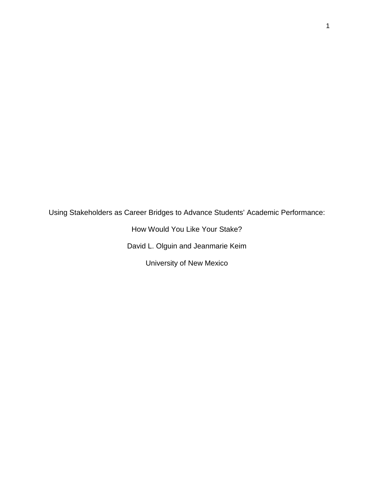Using Stakeholders as Career Bridges to Advance Students' Academic Performance:

How Would You Like Your Stake? David L. Olguin and Jeanmarie Keim

University of New Mexico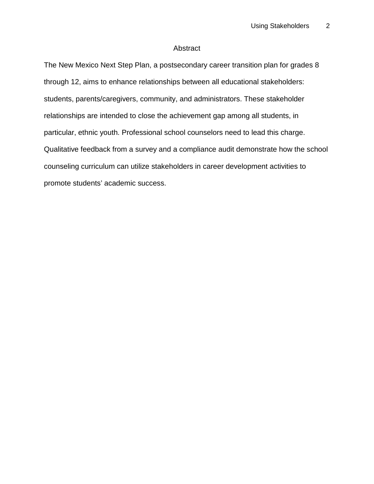# Abstract

The New Mexico Next Step Plan, a postsecondary career transition plan for grades 8 through 12, aims to enhance relationships between all educational stakeholders: students, parents/caregivers, community, and administrators. These stakeholder relationships are intended to close the achievement gap among all students, in particular, ethnic youth. Professional school counselors need to lead this charge. Qualitative feedback from a survey and a compliance audit demonstrate how the school counseling curriculum can utilize stakeholders in career development activities to promote students' academic success.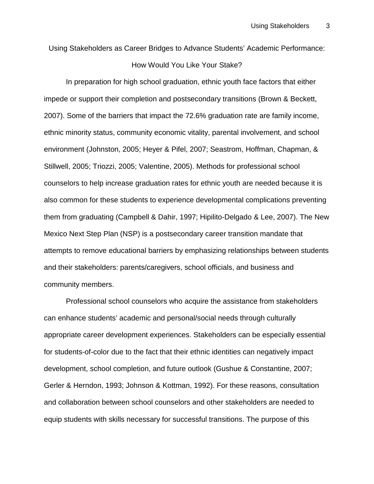Using Stakeholders as Career Bridges to Advance Students' Academic Performance:

# How Would You Like Your Stake?

In preparation for high school graduation, ethnic youth face factors that either impede or support their completion and postsecondary transitions (Brown & Beckett, 2007). Some of the barriers that impact the 72.6% graduation rate are family income, ethnic minority status, community economic vitality, parental involvement, and school environment (Johnston, 2005; Heyer & Pifel, 2007; Seastrom, Hoffman, Chapman, & Stillwell, 2005; Triozzi, 2005; Valentine, 2005). Methods for professional school counselors to help increase graduation rates for ethnic youth are needed because it is also common for these students to experience developmental complications preventing them from graduating (Campbell & Dahir, 1997; Hipilito-Delgado & Lee, 2007). The New Mexico Next Step Plan (NSP) is a postsecondary career transition mandate that attempts to remove educational barriers by emphasizing relationships between students and their stakeholders: parents/caregivers, school officials, and business and community members.

Professional school counselors who acquire the assistance from stakeholders can enhance students' academic and personal/social needs through culturally appropriate career development experiences. Stakeholders can be especially essential for students-of-color due to the fact that their ethnic identities can negatively impact development, school completion, and future outlook (Gushue & Constantine, 2007; Gerler & Herndon, 1993; Johnson & Kottman, 1992). For these reasons, consultation and collaboration between school counselors and other stakeholders are needed to equip students with skills necessary for successful transitions. The purpose of this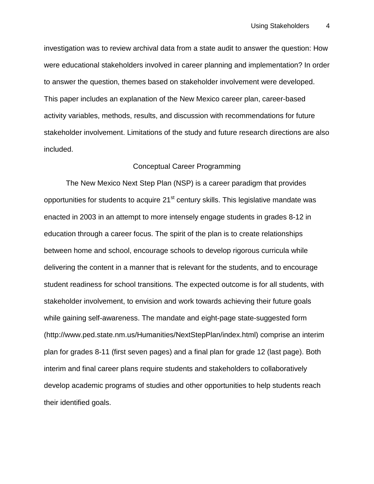investigation was to review archival data from a state audit to answer the question: How were educational stakeholders involved in career planning and implementation? In order to answer the question, themes based on stakeholder involvement were developed. This paper includes an explanation of the New Mexico career plan, career-based activity variables, methods, results, and discussion with recommendations for future stakeholder involvement. Limitations of the study and future research directions are also included.

# Conceptual Career Programming

The New Mexico Next Step Plan (NSP) is a career paradigm that provides opportunities for students to acquire  $21<sup>st</sup>$  century skills. This legislative mandate was enacted in 2003 in an attempt to more intensely engage students in grades 8-12 in education through a career focus. The spirit of the plan is to create relationships between home and school, encourage schools to develop rigorous curricula while delivering the content in a manner that is relevant for the students, and to encourage student readiness for school transitions. The expected outcome is for all students, with stakeholder involvement, to envision and work towards achieving their future goals while gaining self-awareness. The mandate and eight-page state-suggested form (http://www.ped.state.nm.us/Humanities/NextStepPlan/index.html) comprise an interim plan for grades 8-11 (first seven pages) and a final plan for grade 12 (last page). Both interim and final career plans require students and stakeholders to collaboratively develop academic programs of studies and other opportunities to help students reach their identified goals.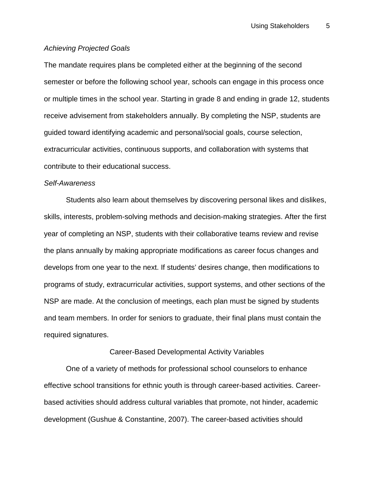# *Achieving Projected Goals*

The mandate requires plans be completed either at the beginning of the second semester or before the following school year, schools can engage in this process once or multiple times in the school year. Starting in grade 8 and ending in grade 12, students receive advisement from stakeholders annually. By completing the NSP, students are guided toward identifying academic and personal/social goals, course selection, extracurricular activities, continuous supports, and collaboration with systems that contribute to their educational success.

#### *Self-Awareness*

Students also learn about themselves by discovering personal likes and dislikes, skills, interests, problem-solving methods and decision-making strategies. After the first year of completing an NSP, students with their collaborative teams review and revise the plans annually by making appropriate modifications as career focus changes and develops from one year to the next. If students' desires change, then modifications to programs of study, extracurricular activities, support systems, and other sections of the NSP are made. At the conclusion of meetings, each plan must be signed by students and team members. In order for seniors to graduate, their final plans must contain the required signatures.

## Career-Based Developmental Activity Variables

One of a variety of methods for professional school counselors to enhance effective school transitions for ethnic youth is through career-based activities. Careerbased activities should address cultural variables that promote, not hinder, academic development (Gushue & Constantine, 2007). The career-based activities should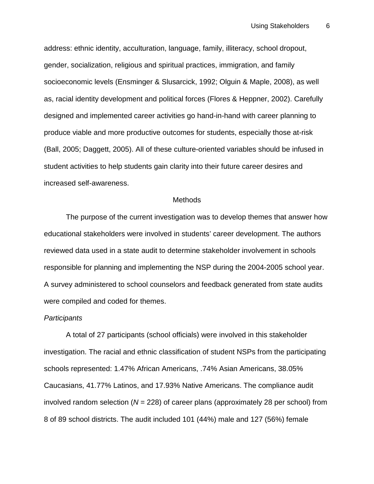address: ethnic identity, acculturation, language, family, illiteracy, school dropout, gender, socialization, religious and spiritual practices, immigration, and family socioeconomic levels (Ensminger & Slusarcick, 1992; Olguin & Maple, 2008), as well as, racial identity development and political forces (Flores & Heppner, 2002). Carefully designed and implemented career activities go hand-in-hand with career planning to produce viable and more productive outcomes for students, especially those at-risk (Ball, 2005; Daggett, 2005). All of these culture-oriented variables should be infused in student activities to help students gain clarity into their future career desires and increased self-awareness.

#### **Methods**

The purpose of the current investigation was to develop themes that answer how educational stakeholders were involved in students' career development. The authors reviewed data used in a state audit to determine stakeholder involvement in schools responsible for planning and implementing the NSP during the 2004-2005 school year. A survey administered to school counselors and feedback generated from state audits were compiled and coded for themes.

#### *Participants*

A total of 27 participants (school officials) were involved in this stakeholder investigation. The racial and ethnic classification of student NSPs from the participating schools represented: 1.47% African Americans, .74% Asian Americans, 38.05% Caucasians, 41.77% Latinos, and 17.93% Native Americans. The compliance audit involved random selection (*N* = 228) of career plans (approximately 28 per school) from 8 of 89 school districts. The audit included 101 (44%) male and 127 (56%) female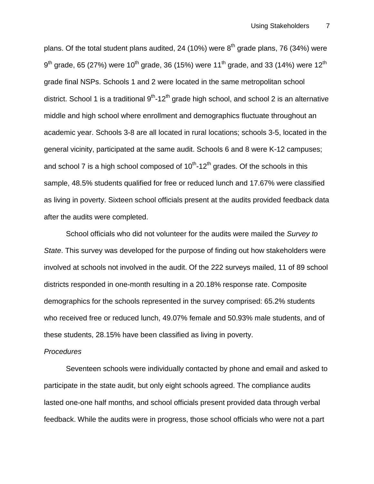plans. Of the total student plans audited, 24 (10%) were  $8<sup>th</sup>$  grade plans, 76 (34%) were  $9<sup>th</sup>$  grade, 65 (27%) were 10<sup>th</sup> grade, 36 (15%) were 11<sup>th</sup> grade, and 33 (14%) were 12<sup>th</sup> grade final NSPs. Schools 1 and 2 were located in the same metropolitan school district. School 1 is a traditional  $9<sup>th</sup>$ -12<sup>th</sup> grade high school, and school 2 is an alternative middle and high school where enrollment and demographics fluctuate throughout an academic year. Schools 3-8 are all located in rural locations; schools 3-5, located in the general vicinity, participated at the same audit. Schools 6 and 8 were K-12 campuses; and school 7 is a high school composed of  $10^{th}$ - $12^{th}$  grades. Of the schools in this sample, 48.5% students qualified for free or reduced lunch and 17.67% were classified as living in poverty. Sixteen school officials present at the audits provided feedback data after the audits were completed.

School officials who did not volunteer for the audits were mailed the *Survey to State*. This survey was developed for the purpose of finding out how stakeholders were involved at schools not involved in the audit. Of the 222 surveys mailed, 11 of 89 school districts responded in one-month resulting in a 20.18% response rate. Composite demographics for the schools represented in the survey comprised: 65.2% students who received free or reduced lunch, 49.07% female and 50.93% male students, and of these students, 28.15% have been classified as living in poverty.

#### *Procedures*

Seventeen schools were individually contacted by phone and email and asked to participate in the state audit, but only eight schools agreed. The compliance audits lasted one-one half months, and school officials present provided data through verbal feedback. While the audits were in progress, those school officials who were not a part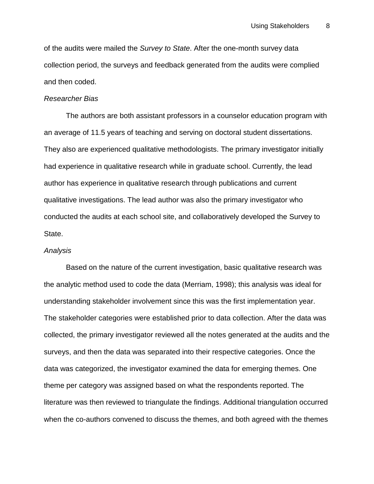of the audits were mailed the *Survey to State*. After the one-month survey data collection period, the surveys and feedback generated from the audits were complied and then coded.

## *Researcher Bias*

The authors are both assistant professors in a counselor education program with an average of 11.5 years of teaching and serving on doctoral student dissertations. They also are experienced qualitative methodologists. The primary investigator initially had experience in qualitative research while in graduate school. Currently, the lead author has experience in qualitative research through publications and current qualitative investigations. The lead author was also the primary investigator who conducted the audits at each school site, and collaboratively developed the Survey to State.

## *Analysis*

Based on the nature of the current investigation, basic qualitative research was the analytic method used to code the data (Merriam, 1998); this analysis was ideal for understanding stakeholder involvement since this was the first implementation year. The stakeholder categories were established prior to data collection. After the data was collected, the primary investigator reviewed all the notes generated at the audits and the surveys, and then the data was separated into their respective categories. Once the data was categorized, the investigator examined the data for emerging themes. One theme per category was assigned based on what the respondents reported. The literature was then reviewed to triangulate the findings. Additional triangulation occurred when the co-authors convened to discuss the themes, and both agreed with the themes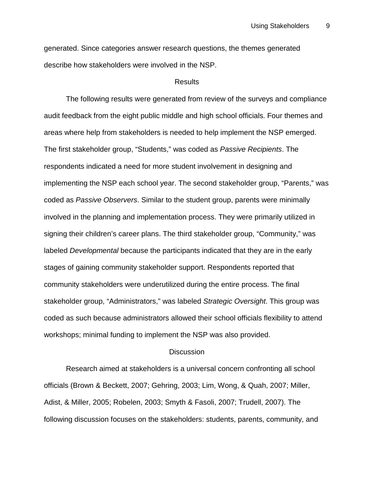generated. Since categories answer research questions, the themes generated describe how stakeholders were involved in the NSP.

## Results

The following results were generated from review of the surveys and compliance audit feedback from the eight public middle and high school officials. Four themes and areas where help from stakeholders is needed to help implement the NSP emerged. The first stakeholder group, "Students," was coded as *Passive Recipients*. The respondents indicated a need for more student involvement in designing and implementing the NSP each school year. The second stakeholder group, "Parents," was coded as *Passive Observers*. Similar to the student group, parents were minimally involved in the planning and implementation process. They were primarily utilized in signing their children's career plans. The third stakeholder group, "Community," was labeled *Developmental* because the participants indicated that they are in the early stages of gaining community stakeholder support. Respondents reported that community stakeholders were underutilized during the entire process. The final stakeholder group, "Administrators," was labeled *Strategic Oversight*. This group was coded as such because administrators allowed their school officials flexibility to attend workshops; minimal funding to implement the NSP was also provided.

#### **Discussion**

Research aimed at stakeholders is a universal concern confronting all school officials (Brown & Beckett, 2007; Gehring, 2003; Lim, Wong, & Quah, 2007; Miller, Adist, & Miller, 2005; Robelen, 2003; Smyth & Fasoli, 2007; Trudell, 2007). The following discussion focuses on the stakeholders: students, parents, community, and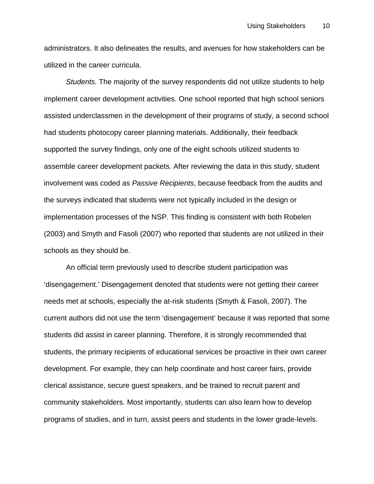administrators. It also delineates the results, and avenues for how stakeholders can be utilized in the career curricula.

*Students.* The majority of the survey respondents did not utilize students to help implement career development activities. One school reported that high school seniors assisted underclassmen in the development of their programs of study, a second school had students photocopy career planning materials. Additionally, their feedback supported the survey findings, only one of the eight schools utilized students to assemble career development packets. After reviewing the data in this study, student involvement was coded as *Passive Recipients*, because feedback from the audits and the surveys indicated that students were not typically included in the design or implementation processes of the NSP. This finding is consistent with both Robelen (2003) and Smyth and Fasoli (2007) who reported that students are not utilized in their schools as they should be.

An official term previously used to describe student participation was 'disengagement.' Disengagement denoted that students were not getting their career needs met at schools, especially the at-risk students (Smyth & Fasoli, 2007). The current authors did not use the term 'disengagement' because it was reported that some students did assist in career planning. Therefore, it is strongly recommended that students, the primary recipients of educational services be proactive in their own career development. For example, they can help coordinate and host career fairs, provide clerical assistance, secure guest speakers, and be trained to recruit parent and community stakeholders. Most importantly, students can also learn how to develop programs of studies, and in turn, assist peers and students in the lower grade-levels.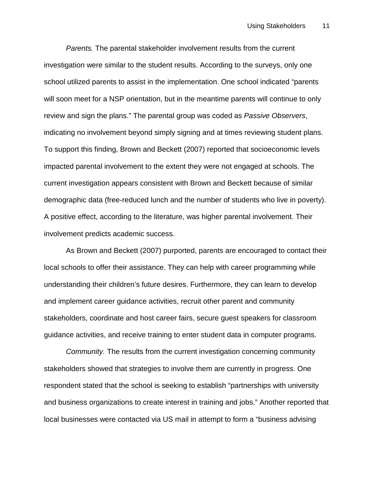*Parents.* The parental stakeholder involvement results from the current investigation were similar to the student results. According to the surveys, only one school utilized parents to assist in the implementation. One school indicated "parents will soon meet for a NSP orientation, but in the meantime parents will continue to only review and sign the plans." The parental group was coded as *Passive Observers*, indicating no involvement beyond simply signing and at times reviewing student plans. To support this finding, Brown and Beckett (2007) reported that socioeconomic levels impacted parental involvement to the extent they were not engaged at schools. The current investigation appears consistent with Brown and Beckett because of similar demographic data (free-reduced lunch and the number of students who live in poverty). A positive effect, according to the literature, was higher parental involvement. Their involvement predicts academic success.

As Brown and Beckett (2007) purported, parents are encouraged to contact their local schools to offer their assistance. They can help with career programming while understanding their children's future desires. Furthermore, they can learn to develop and implement career guidance activities, recruit other parent and community stakeholders, coordinate and host career fairs, secure guest speakers for classroom guidance activities, and receive training to enter student data in computer programs.

*Community.* The results from the current investigation concerning community stakeholders showed that strategies to involve them are currently in progress. One respondent stated that the school is seeking to establish "partnerships with university and business organizations to create interest in training and jobs." Another reported that local businesses were contacted via US mail in attempt to form a "business advising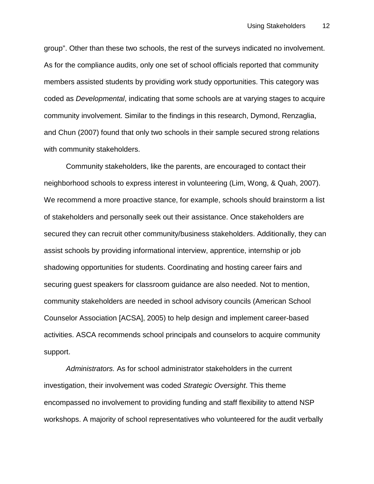group". Other than these two schools, the rest of the surveys indicated no involvement. As for the compliance audits, only one set of school officials reported that community members assisted students by providing work study opportunities. This category was coded as *Developmental*, indicating that some schools are at varying stages to acquire community involvement. Similar to the findings in this research, Dymond, Renzaglia, and Chun (2007) found that only two schools in their sample secured strong relations with community stakeholders.

Community stakeholders, like the parents, are encouraged to contact their neighborhood schools to express interest in volunteering (Lim, Wong, & Quah, 2007). We recommend a more proactive stance, for example, schools should brainstorm a list of stakeholders and personally seek out their assistance. Once stakeholders are secured they can recruit other community/business stakeholders. Additionally, they can assist schools by providing informational interview, apprentice, internship or job shadowing opportunities for students. Coordinating and hosting career fairs and securing guest speakers for classroom guidance are also needed. Not to mention, community stakeholders are needed in school advisory councils (American School Counselor Association [ACSA], 2005) to help design and implement career-based activities. ASCA recommends school principals and counselors to acquire community support.

*Administrators.* As for school administrator stakeholders in the current investigation, their involvement was coded *Strategic Oversight*. This theme encompassed no involvement to providing funding and staff flexibility to attend NSP workshops. A majority of school representatives who volunteered for the audit verbally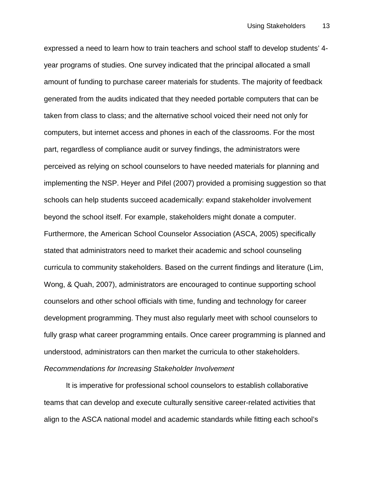expressed a need to learn how to train teachers and school staff to develop students' 4 year programs of studies. One survey indicated that the principal allocated a small amount of funding to purchase career materials for students. The majority of feedback generated from the audits indicated that they needed portable computers that can be taken from class to class; and the alternative school voiced their need not only for computers, but internet access and phones in each of the classrooms. For the most part, regardless of compliance audit or survey findings, the administrators were perceived as relying on school counselors to have needed materials for planning and implementing the NSP. Heyer and Pifel (2007) provided a promising suggestion so that schools can help students succeed academically: expand stakeholder involvement beyond the school itself. For example, stakeholders might donate a computer. Furthermore, the American School Counselor Association (ASCA, 2005) specifically stated that administrators need to market their academic and school counseling curricula to community stakeholders. Based on the current findings and literature (Lim, Wong, & Quah, 2007), administrators are encouraged to continue supporting school counselors and other school officials with time, funding and technology for career development programming. They must also regularly meet with school counselors to fully grasp what career programming entails. Once career programming is planned and understood, administrators can then market the curricula to other stakeholders. *Recommendations for Increasing Stakeholder Involvement*

It is imperative for professional school counselors to establish collaborative teams that can develop and execute culturally sensitive career-related activities that align to the ASCA national model and academic standards while fitting each school's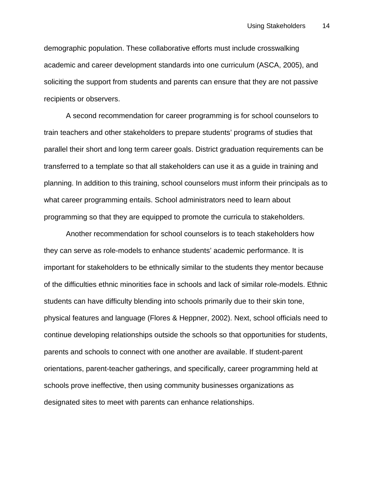demographic population. These collaborative efforts must include crosswalking academic and career development standards into one curriculum (ASCA, 2005), and soliciting the support from students and parents can ensure that they are not passive recipients or observers.

A second recommendation for career programming is for school counselors to train teachers and other stakeholders to prepare students' programs of studies that parallel their short and long term career goals. District graduation requirements can be transferred to a template so that all stakeholders can use it as a guide in training and planning. In addition to this training, school counselors must inform their principals as to what career programming entails. School administrators need to learn about programming so that they are equipped to promote the curricula to stakeholders.

Another recommendation for school counselors is to teach stakeholders how they can serve as role-models to enhance students' academic performance. It is important for stakeholders to be ethnically similar to the students they mentor because of the difficulties ethnic minorities face in schools and lack of similar role-models. Ethnic students can have difficulty blending into schools primarily due to their skin tone, physical features and language (Flores & Heppner, 2002). Next, school officials need to continue developing relationships outside the schools so that opportunities for students, parents and schools to connect with one another are available. If student-parent orientations, parent-teacher gatherings, and specifically, career programming held at schools prove ineffective, then using community businesses organizations as designated sites to meet with parents can enhance relationships.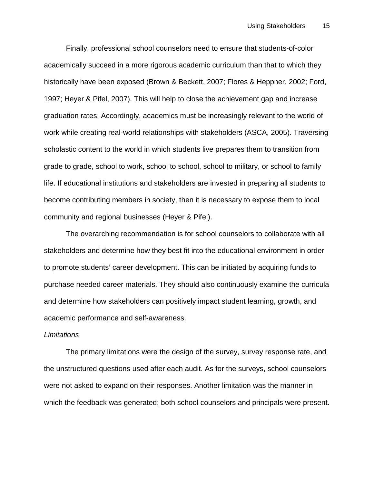Finally, professional school counselors need to ensure that students-of-color academically succeed in a more rigorous academic curriculum than that to which they historically have been exposed (Brown & Beckett, 2007; Flores & Heppner, 2002; Ford, 1997; Heyer & Pifel, 2007). This will help to close the achievement gap and increase graduation rates. Accordingly, academics must be increasingly relevant to the world of work while creating real-world relationships with stakeholders (ASCA, 2005). Traversing scholastic content to the world in which students live prepares them to transition from grade to grade, school to work, school to school, school to military, or school to family life. If educational institutions and stakeholders are invested in preparing all students to become contributing members in society, then it is necessary to expose them to local community and regional businesses (Heyer & Pifel).

The overarching recommendation is for school counselors to collaborate with all stakeholders and determine how they best fit into the educational environment in order to promote students' career development. This can be initiated by acquiring funds to purchase needed career materials. They should also continuously examine the curricula and determine how stakeholders can positively impact student learning, growth, and academic performance and self-awareness.

#### *Limitations*

The primary limitations were the design of the survey, survey response rate, and the unstructured questions used after each audit. As for the surveys, school counselors were not asked to expand on their responses. Another limitation was the manner in which the feedback was generated; both school counselors and principals were present.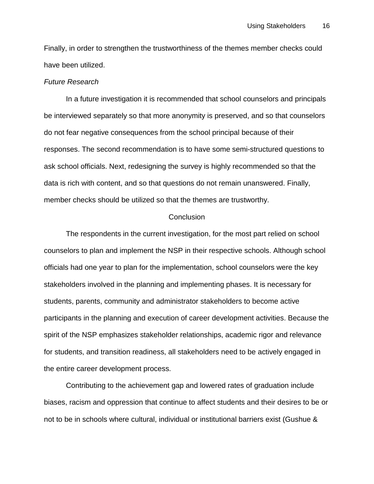Finally, in order to strengthen the trustworthiness of the themes member checks could have been utilized.

# *Future Research*

In a future investigation it is recommended that school counselors and principals be interviewed separately so that more anonymity is preserved, and so that counselors do not fear negative consequences from the school principal because of their responses. The second recommendation is to have some semi-structured questions to ask school officials. Next, redesigning the survey is highly recommended so that the data is rich with content, and so that questions do not remain unanswered. Finally, member checks should be utilized so that the themes are trustworthy.

## **Conclusion**

The respondents in the current investigation, for the most part relied on school counselors to plan and implement the NSP in their respective schools. Although school officials had one year to plan for the implementation, school counselors were the key stakeholders involved in the planning and implementing phases. It is necessary for students, parents, community and administrator stakeholders to become active participants in the planning and execution of career development activities. Because the spirit of the NSP emphasizes stakeholder relationships, academic rigor and relevance for students, and transition readiness, all stakeholders need to be actively engaged in the entire career development process.

Contributing to the achievement gap and lowered rates of graduation include biases, racism and oppression that continue to affect students and their desires to be or not to be in schools where cultural, individual or institutional barriers exist (Gushue &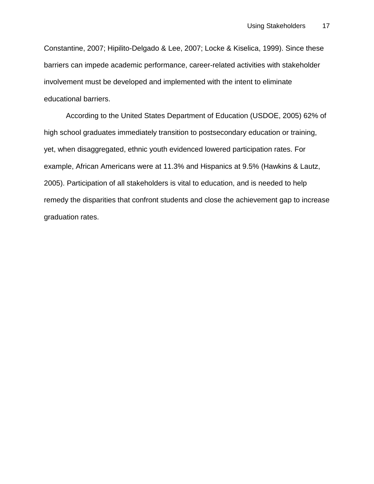Constantine, 2007; Hipilito-Delgado & Lee, 2007; Locke & Kiselica, 1999). Since these barriers can impede academic performance, career-related activities with stakeholder involvement must be developed and implemented with the intent to eliminate educational barriers.

According to the United States Department of Education (USDOE, 2005) 62% of high school graduates immediately transition to postsecondary education or training, yet, when disaggregated, ethnic youth evidenced lowered participation rates. For example, African Americans were at 11.3% and Hispanics at 9.5% (Hawkins & Lautz, 2005). Participation of all stakeholders is vital to education, and is needed to help remedy the disparities that confront students and close the achievement gap to increase graduation rates.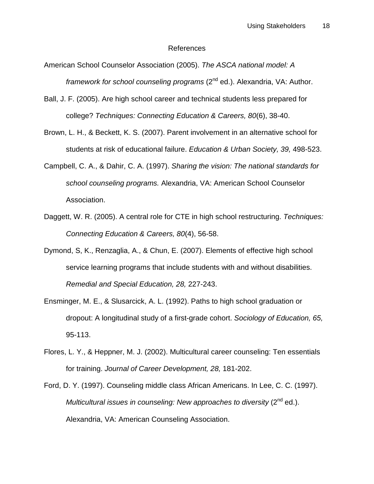#### References

- American School Counselor Association (2005). *The ASCA national model: A framework for school counseling programs* (2<sup>nd</sup> ed.). Alexandria, VA: Author.
- Ball, J. F. (2005). Are high school career and technical students less prepared for college? *Techniques: Connecting Education & Careers, 80*(6), 38-40.
- Brown, L. H., & Beckett, K. S. (2007). Parent involvement in an alternative school for students at risk of educational failure. *Education & Urban Society, 39,* 498-523.
- Campbell, C. A., & Dahir, C. A. (1997). *Sharing the vision: The national standards for school counseling programs.* Alexandria, VA: American School Counselor Association.
- Daggett, W. R. (2005). A central role for CTE in high school restructuring. *Techniques: Connecting Education & Careers, 80*(4), 56-58.
- Dymond, S, K., Renzaglia, A., & Chun, E. (2007). Elements of effective high school service learning programs that include students with and without disabilities. *Remedial and Special Education, 28,* 227-243.
- Ensminger, M. E., & Slusarcick, A. L. (1992). Paths to high school graduation or dropout: A longitudinal study of a first-grade cohort. *Sociology of Education, 65,* 95-113.
- Flores, L. Y., & Heppner, M. J. (2002). Multicultural career counseling: Ten essentials for training. *Journal of Career Development, 28,* 181-202.
- Ford, D. Y. (1997). Counseling middle class African Americans. In Lee, C. C. (1997). *Multicultural issues in counseling: New approaches to diversity* (2<sup>nd</sup> ed.). Alexandria, VA: American Counseling Association.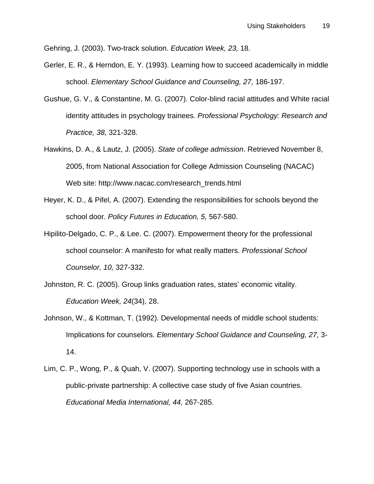Gehring, J. (2003). Two-track solution. *Education Week, 23,* 18.

- Gerler, E. R., & Herndon, E. Y. (1993). Learning how to succeed academically in middle school. *Elementary School Guidance and Counseling, 27,* 186-197.
- Gushue, G. V., & Constantine, M. G. (2007). Color-blind racial attitudes and White racial identity attitudes in psychology trainees. *Professional Psychology: Research and Practice, 38,* 321-328.
- Hawkins, D. A., & Lautz, J. (2005). *State of college admission*. Retrieved November 8, 2005, from National Association for College Admission Counseling (NACAC) Web site: http://www.nacac.com/research\_trends.html
- Heyer, K. D., & Pifel, A. (2007). Extending the responsibilities for schools beyond the school door. *Policy Futures in Education, 5,* 567-580.
- Hipilito-Delgado, C. P., & Lee. C. (2007). Empowerment theory for the professional school counselor: A manifesto for what really matters. *Professional School Counselor, 10,* 327-332.
- Johnston, R. C. (2005). Group links graduation rates, states' economic vitality. *Education Week, 24*(34), 28.
- Johnson, W., & Kottman, T. (1992). Developmental needs of middle school students: Implications for counselors. *Elementary School Guidance and Counseling, 27,* 3- 14.
- Lim, C. P., Wong, P., & Quah, V. (2007). Supporting technology use in schools with a public-private partnership: A collective case study of five Asian countries. *Educational Media International, 44,* 267-285.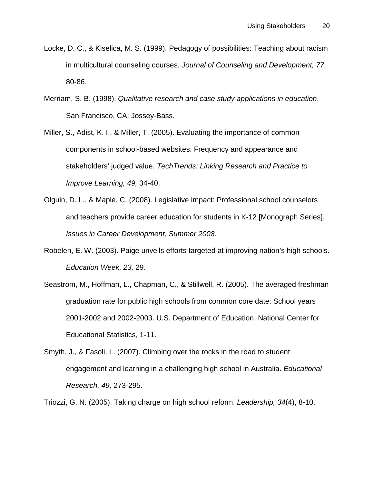- Locke, D. C., & Kiselica, M. S. (1999). Pedagogy of possibilities: Teaching about racism in multicultural counseling courses. *Journal of Counseling and Development, 77,* 80-86.
- Merriam, S. B. (1998). *Qualitative research and case study applications in education*. San Francisco, CA: Jossey-Bass.
- Miller, S., Adist, K. I., & Miller, T. (2005). Evaluating the importance of common components in school-based websites: Frequency and appearance and stakeholders' judged value. *TechTrends: Linking Research and Practice to Improve Learning, 49,* 34-40.
- Olguin, D. L., & Maple, C. (2008). Legislative impact: Professional school counselors and teachers provide career education for students in K-12 [Monograph Series]. *Issues in Career Development, Summer 2008*.
- Robelen, E. W. (2003). Paige unveils efforts targeted at improving nation's high schools. *Education Week, 23,* 29.
- Seastrom, M., Hoffman, L., Chapman, C., & Stillwell, R. (2005). The averaged freshman graduation rate for public high schools from common core date: School years 2001-2002 and 2002-2003. U.S. Department of Education, National Center for Educational Statistics, 1-11.
- Smyth, J., & Fasoli, L. (2007). Climbing over the rocks in the road to student engagement and learning in a challenging high school in Australia. *Educational Research, 49,* 273-295.

Triozzi, G. N. (2005). Taking charge on high school reform. *Leadership, 34*(4), 8-10.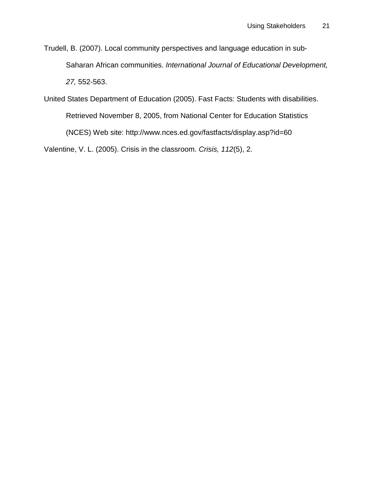Trudell, B. (2007). Local community perspectives and language education in sub-Saharan African communities. *International Journal of Educational Development, 27,* 552-563.

United States Department of Education (2005). Fast Facts: Students with disabilities. Retrieved November 8, 2005, from National Center for Education Statistics (NCES) Web site: http://www.nces.ed.gov/fastfacts/display.asp?id=60 Valentine, V. L. (2005). Crisis in the classroom. *Crisis, 112*(5), 2.